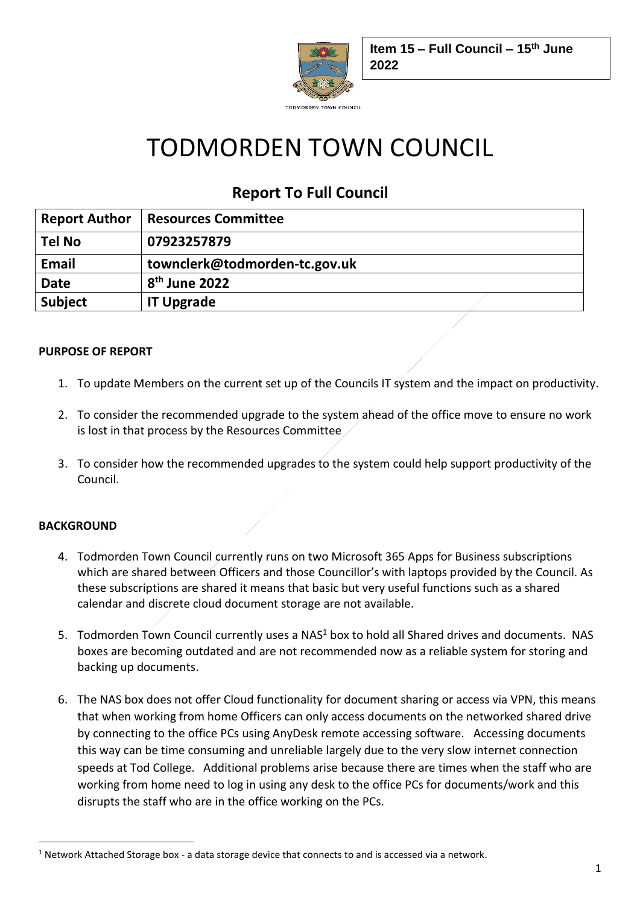

# TODMORDEN TOWN COUNCIL

# **Report To Full Council**

| <b>Report Author</b> | <b>Resources Committee</b>    |  |
|----------------------|-------------------------------|--|
| <b>Tel No</b>        | 07923257879                   |  |
| <b>Email</b>         | townclerk@todmorden-tc.gov.uk |  |
| <b>Date</b>          | 8 <sup>th</sup> June 2022     |  |
| <b>Subject</b>       | <b>IT Upgrade</b>             |  |

# **PURPOSE OF REPORT**

- 1. To update Members on the current set up of the Councils IT system and the impact on productivity.
- 2. To consider the recommended upgrade to the system ahead of the office move to ensure no work is lost in that process by the Resources Committee
- 3. To consider how the recommended upgrades to the system could help support productivity of the Council.

# **BACKGROUND**

- 4. Todmorden Town Council currently runs on two Microsoft 365 Apps for Business subscriptions which are shared between Officers and those Councillor's with laptops provided by the Council. As these subscriptions are shared it means that basic but very useful functions such as a shared calendar and discrete cloud document storage are not available.
- 5. Todmorden Town Council currently uses a NAS<sup>1</sup> box to hold all Shared drives and documents. NAS boxes are becoming outdated and are not recommended now as a reliable system for storing and backing up documents.
- 6. The NAS box does not offer Cloud functionality for document sharing or access via VPN, this means that when working from home Officers can only access documents on the networked shared drive by connecting to the office PCs using AnyDesk remote accessing software. Accessing documents this way can be time consuming and unreliable largely due to the very slow internet connection speeds at Tod College. Additional problems arise because there are times when the staff who are working from home need to log in using any desk to the office PCs for documents/work and this disrupts the staff who are in the office working on the PCs.

<sup>&</sup>lt;sup>1</sup> Network Attached Storage box - a data storage device that connects to and is accessed via a network.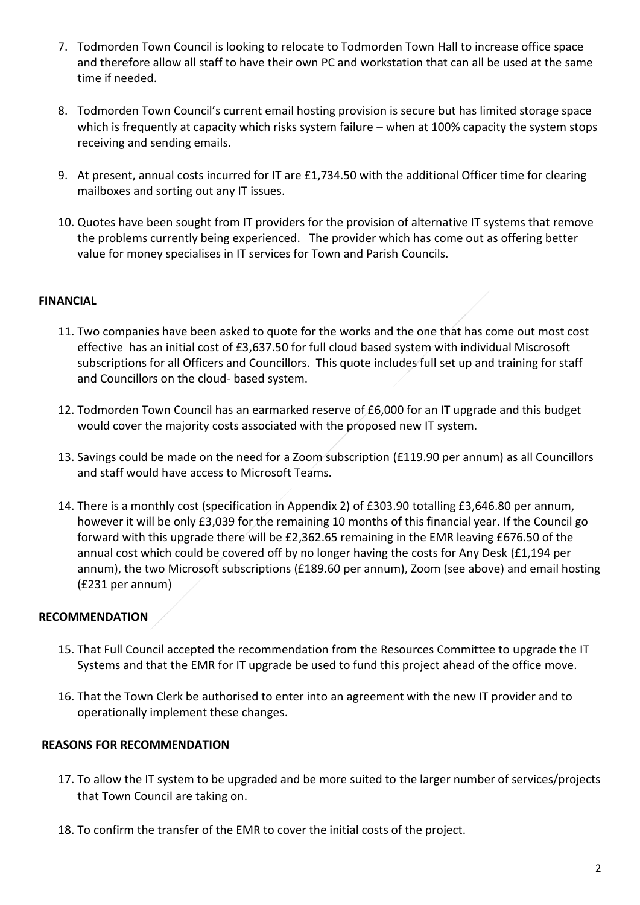- 7. Todmorden Town Council is looking to relocate to Todmorden Town Hall to increase office space and therefore allow all staff to have their own PC and workstation that can all be used at the same time if needed.
- 8. Todmorden Town Council's current email hosting provision is secure but has limited storage space which is frequently at capacity which risks system failure – when at 100% capacity the system stops receiving and sending emails.
- 9. At present, annual costs incurred for IT are £1,734.50 with the additional Officer time for clearing mailboxes and sorting out any IT issues.
- 10. Quotes have been sought from IT providers for the provision of alternative IT systems that remove the problems currently being experienced. The provider which has come out as offering better value for money specialises in IT services for Town and Parish Councils.

# **FINANCIAL**

- 11. Two companies have been asked to quote for the works and the one that has come out most cost effective has an initial cost of £3,637.50 for full cloud based system with individual Miscrosoft subscriptions for all Officers and Councillors. This quote includes full set up and training for staff and Councillors on the cloud- based system.
- 12. Todmorden Town Council has an earmarked reserve of £6,000 for an IT upgrade and this budget would cover the majority costs associated with the proposed new IT system.
- 13. Savings could be made on the need for a Zoom subscription (£119.90 per annum) as all Councillors and staff would have access to Microsoft Teams.
- 14. There is a monthly cost (specification in Appendix 2) of £303.90 totalling £3,646.80 per annum, however it will be only £3,039 for the remaining 10 months of this financial year. If the Council go forward with this upgrade there will be £2,362.65 remaining in the EMR leaving £676.50 of the annual cost which could be covered off by no longer having the costs for Any Desk (£1,194 per annum), the two Microsoft subscriptions (£189.60 per annum), Zoom (see above) and email hosting (£231 per annum)

# **RECOMMENDATION**

- 15. That Full Council accepted the recommendation from the Resources Committee to upgrade the IT Systems and that the EMR for IT upgrade be used to fund this project ahead of the office move.
- 16. That the Town Clerk be authorised to enter into an agreement with the new IT provider and to operationally implement these changes.

# **REASONS FOR RECOMMENDATION**

- 17. To allow the IT system to be upgraded and be more suited to the larger number of services/projects that Town Council are taking on.
- 18. To confirm the transfer of the EMR to cover the initial costs of the project.